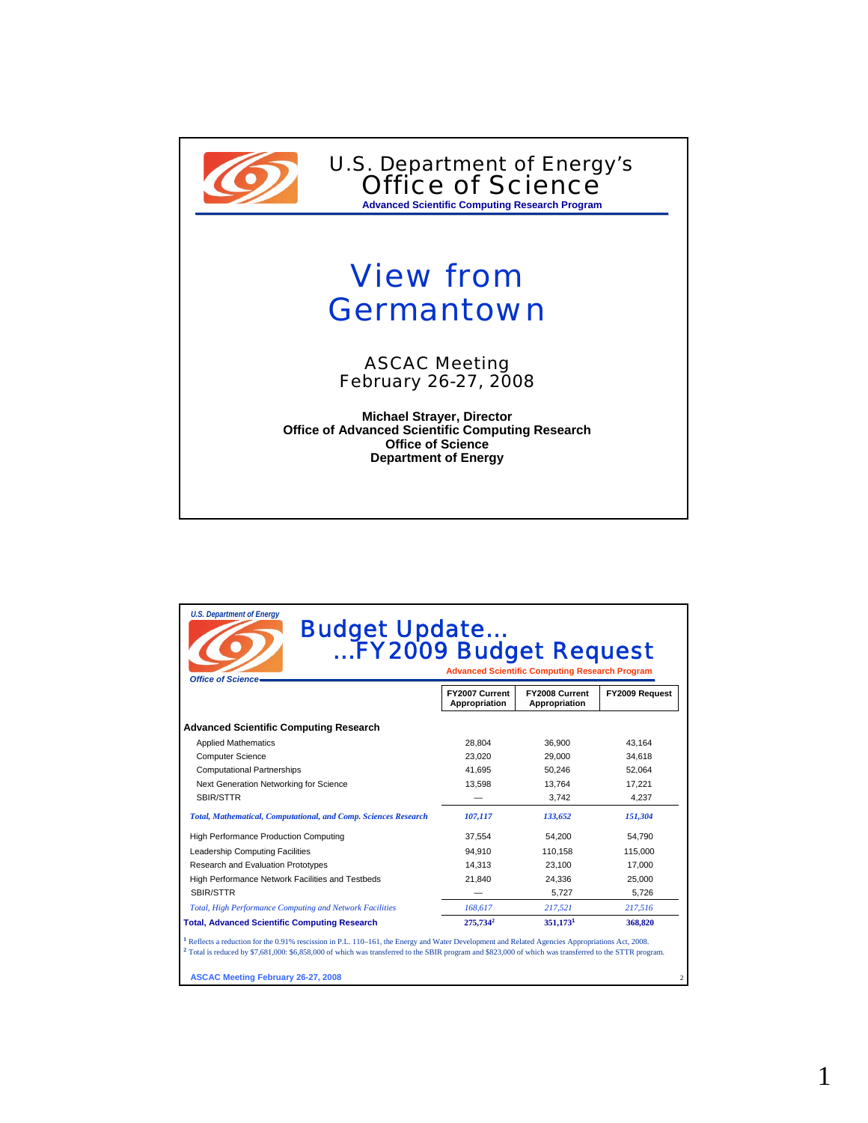

U.S. Department of Energy's Office of Science **Advanced Scientific Computing Research Program**

## View from **Germantown**

ASCAC Meeting February 26-27, 2008

**Michael Strayer, Director Office of Advanced Scientific Computing Research Office of Science Department of Energy**

| <b>Office of Science.</b>                                              | <b>Budget Update<br/>EY2009 Budget Request</b><br><b>Advanced Scientific Computing Research Program</b> |                                 |                |
|------------------------------------------------------------------------|---------------------------------------------------------------------------------------------------------|---------------------------------|----------------|
|                                                                        | FY2007 Current<br>Appropriation                                                                         | FY2008 Current<br>Appropriation | FY2009 Request |
| <b>Advanced Scientific Computing Research</b>                          |                                                                                                         |                                 |                |
| <b>Applied Mathematics</b>                                             | 28,804                                                                                                  | 36,900                          | 43,164         |
| <b>Computer Science</b>                                                | 23.020                                                                                                  | 29.000                          | 34.618         |
| <b>Computational Partnerships</b>                                      | 41.695                                                                                                  | 50.246                          | 52.064         |
| Next Generation Networking for Science                                 | 13,598                                                                                                  | 13.764                          | 17.221         |
| SBIR/STTR                                                              |                                                                                                         | 3,742                           | 4,237          |
| <b>Total, Mathematical, Computational, and Comp. Sciences Research</b> | 107,117                                                                                                 | 133,652                         | 151,304        |
| High Performance Production Computing                                  | 37.554                                                                                                  | 54.200                          | 54.790         |
| Leadership Computing Facilities                                        | 94.910                                                                                                  | 110.158                         | 115.000        |
| Research and Evaluation Prototypes                                     | 14,313                                                                                                  | 23,100                          | 17,000         |
| High Performance Network Facilities and Testbeds                       | 21,840                                                                                                  | 24,336                          | 25,000         |
| SBIR/STTR                                                              |                                                                                                         | 5,727                           | 5,726          |
| Total, High Performance Computing and Network Facilities               | 168,617                                                                                                 | 217,521                         | 217,516        |
| <b>Total, Advanced Scientific Computing Research</b>                   | 275,734 <sup>2</sup>                                                                                    | 351,1731                        | 368,820        |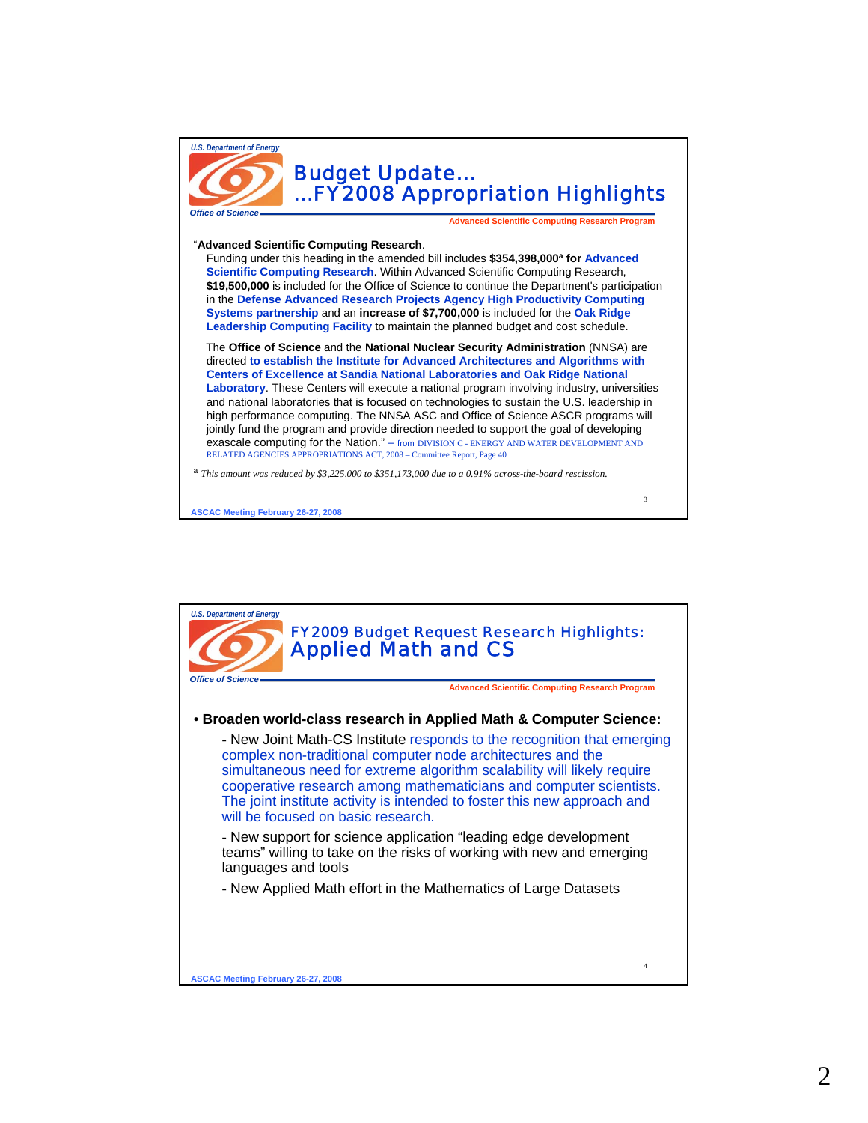

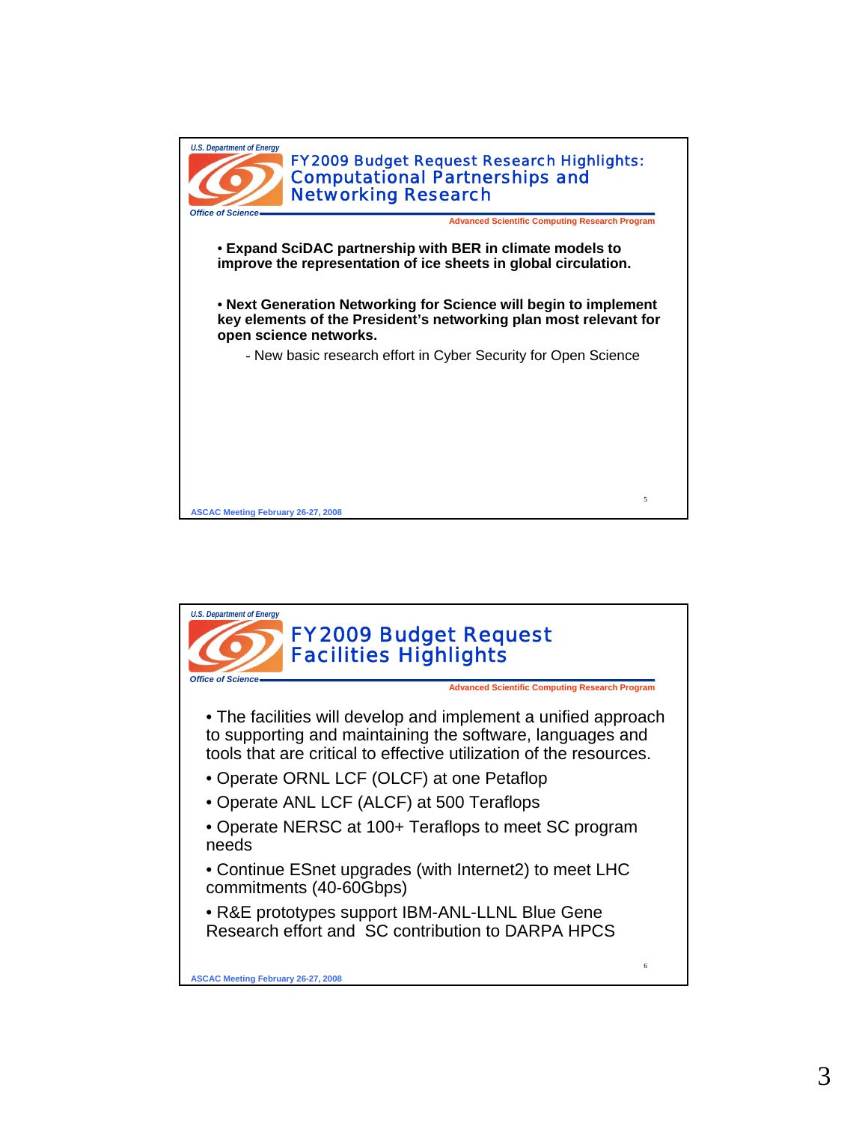

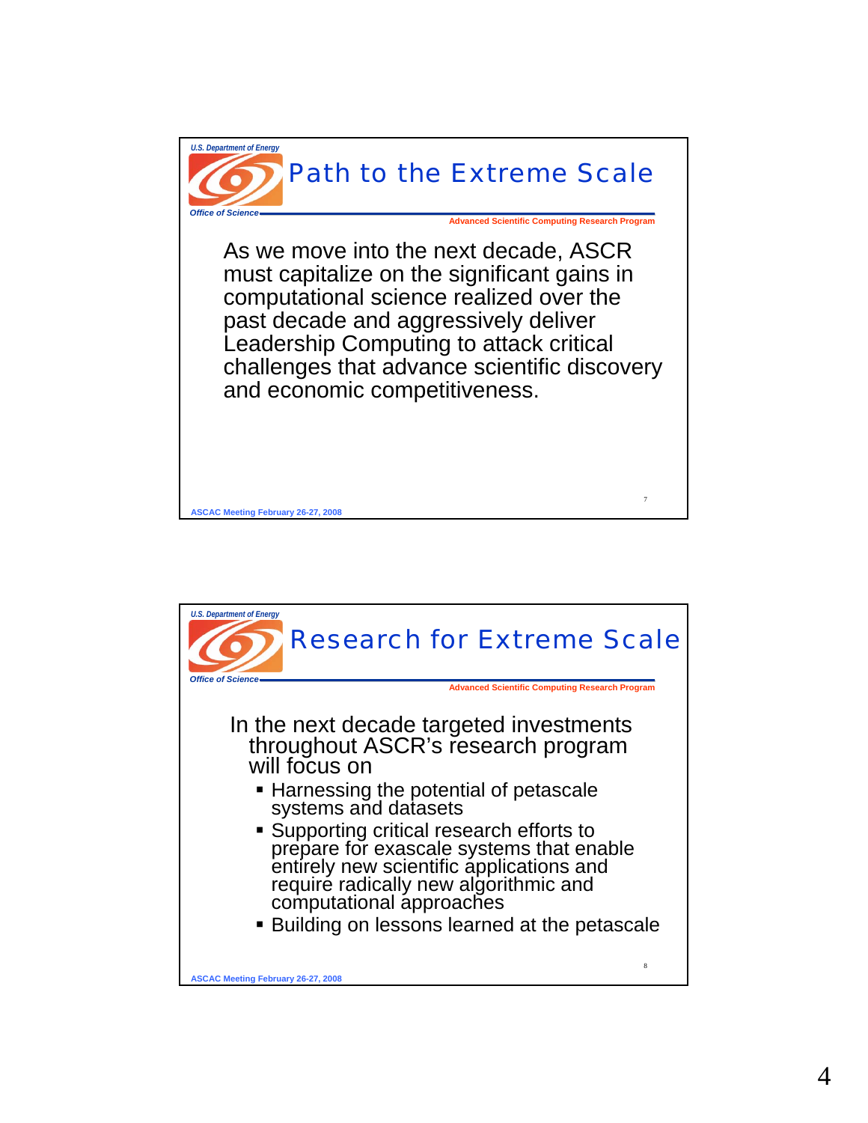

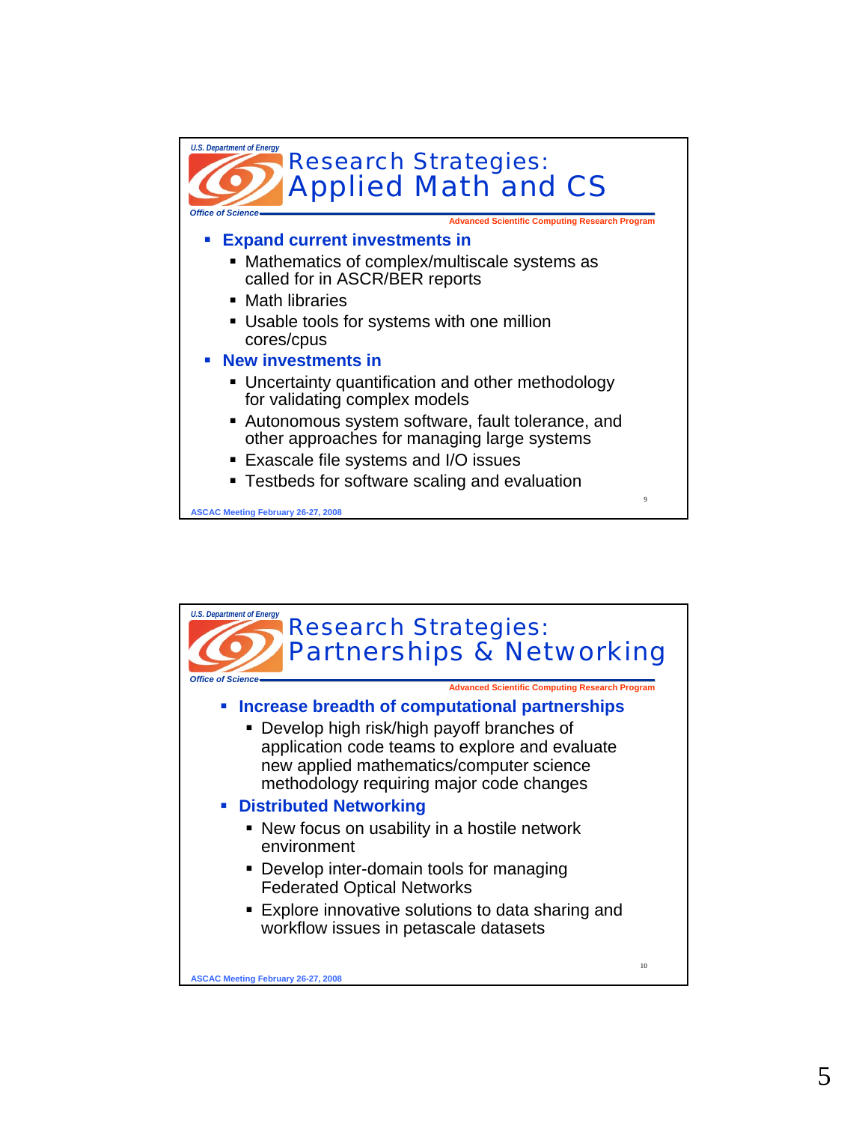

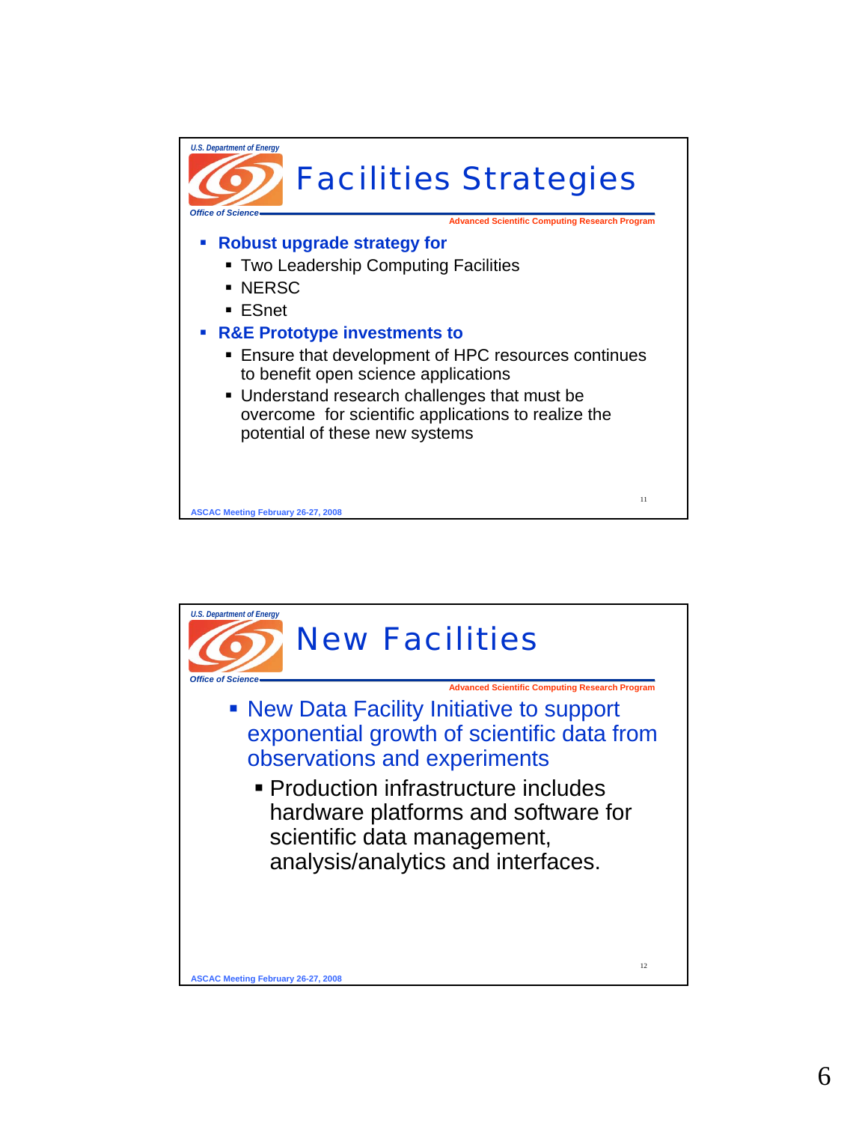

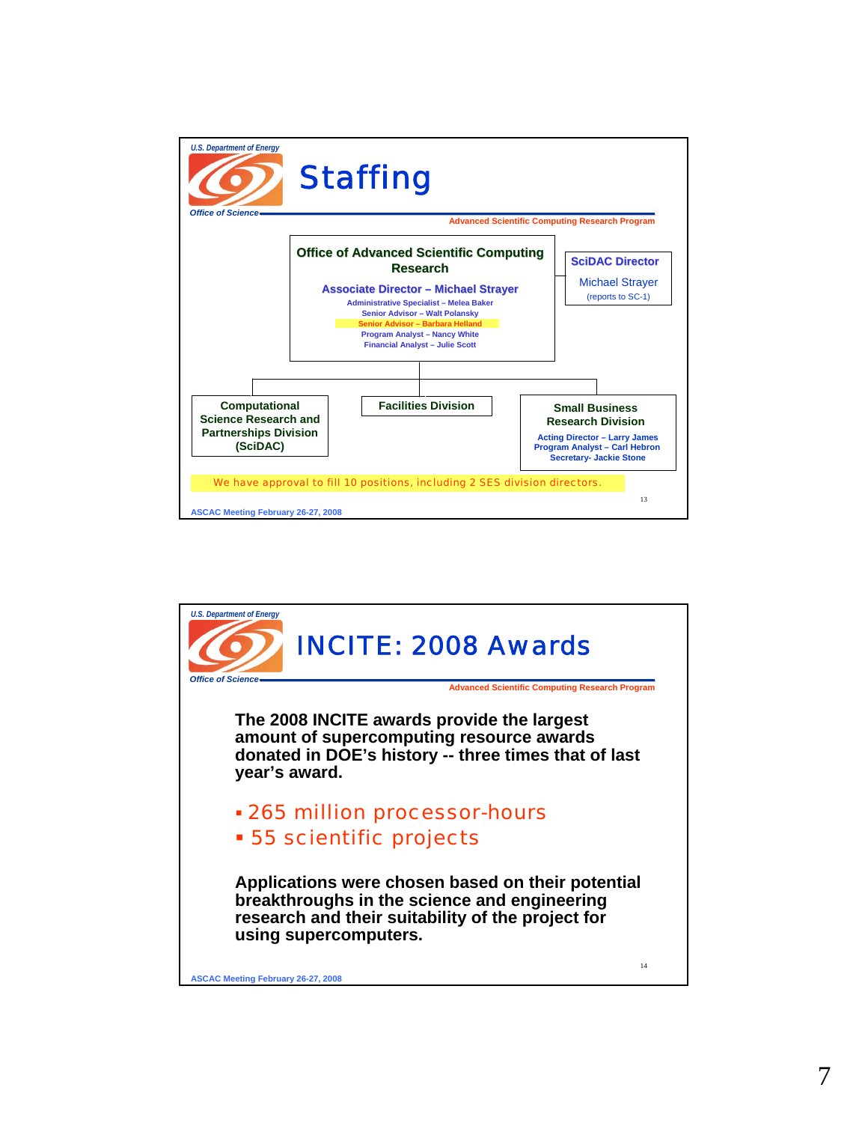

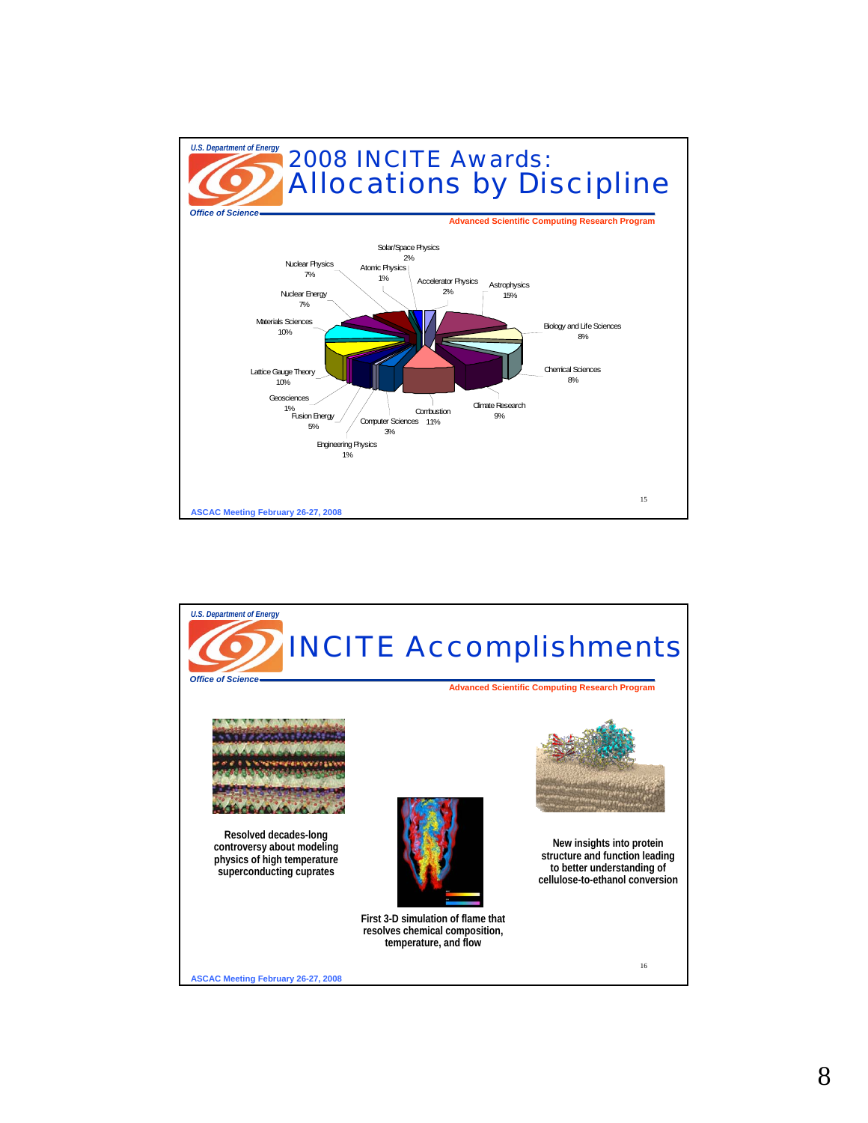